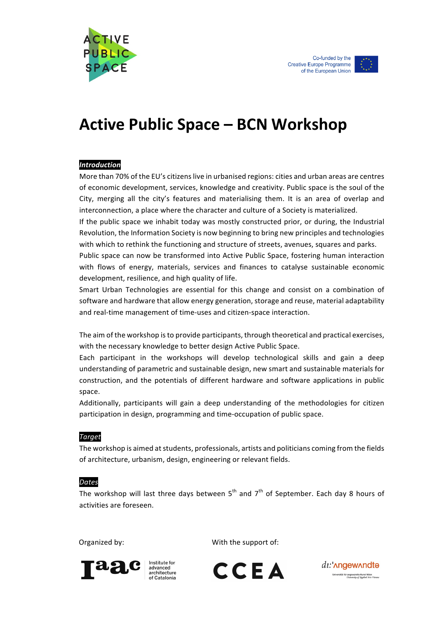



# **Active Public Space – BCN Workshop**

### *Introduction*

More than 70% of the EU's citizens live in urbanised regions: cities and urban areas are centres of economic development, services, knowledge and creativity. Public space is the soul of the City, merging all the city's features and materialising them. It is an area of overlap and interconnection, a place where the character and culture of a Society is materialized.

If the public space we inhabit today was mostly constructed prior, or during, the Industrial Revolution, the Information Society is now beginning to bring new principles and technologies with which to rethink the functioning and structure of streets, avenues, squares and parks.

Public space can now be transformed into Active Public Space, fostering human interaction with flows of energy, materials, services and finances to catalyse sustainable economic development, resilience, and high quality of life.

Smart Urban Technologies are essential for this change and consist on a combination of software and hardware that allow energy generation, storage and reuse, material adaptability and real-time management of time-uses and citizen-space interaction.

The aim of the workshop is to provide participants, through theoretical and practical exercises, with the necessary knowledge to better design Active Public Space.

Each participant in the workshops will develop technological skills and gain a deep understanding of parametric and sustainable design, new smart and sustainable materials for construction, and the potentials of different hardware and software applications in public space.

Additionally, participants will gain a deep understanding of the methodologies for citizen participation in design, programming and time-occupation of public space.

### *Target*

The workshop is aimed at students, professionals, artists and politicians coming from the fields of architecture, urbanism, design, engineering or relevant fields.

#### *Dates*

The workshop will last three days between  $5<sup>th</sup>$  and  $7<sup>th</sup>$  of September. Each day 8 hours of activities are foreseen.

Organized by:  $\qquad \qquad \qquad \qquad$  With the support of:



CCEA